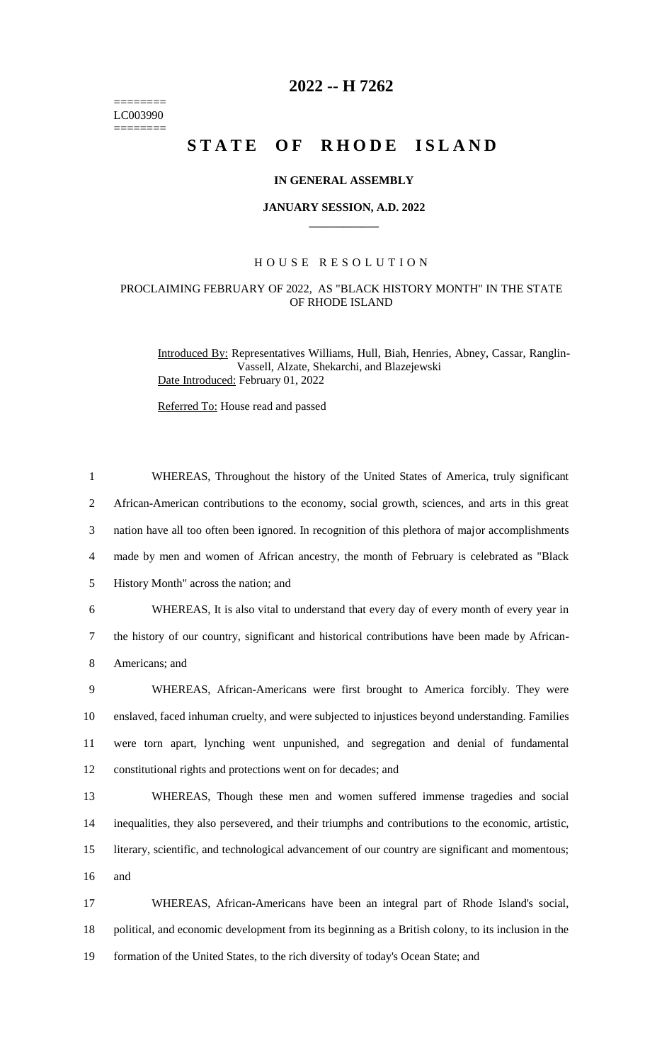======== LC003990  $=$ 

## **2022 -- H 7262**

# **STATE OF RHODE ISLAND**

#### **IN GENERAL ASSEMBLY**

#### **JANUARY SESSION, A.D. 2022 \_\_\_\_\_\_\_\_\_\_\_\_**

### H O U S E R E S O L U T I O N

## PROCLAIMING FEBRUARY OF 2022, AS "BLACK HISTORY MONTH" IN THE STATE OF RHODE ISLAND

Introduced By: Representatives Williams, Hull, Biah, Henries, Abney, Cassar, Ranglin-Vassell, Alzate, Shekarchi, and Blazejewski Date Introduced: February 01, 2022

Referred To: House read and passed

| $\mathbf{1}$   | WHEREAS, Throughout the history of the United States of America, truly significant                  |
|----------------|-----------------------------------------------------------------------------------------------------|
| $\overline{2}$ | African-American contributions to the economy, social growth, sciences, and arts in this great      |
| 3              | nation have all too often been ignored. In recognition of this plethora of major accomplishments    |
| $\overline{4}$ | made by men and women of African ancestry, the month of February is celebrated as "Black"           |
| 5              | History Month" across the nation; and                                                               |
| 6              | WHEREAS, It is also vital to understand that every day of every month of every year in              |
| $\tau$         | the history of our country, significant and historical contributions have been made by African-     |
| $8\,$          | Americans; and                                                                                      |
| 9              | WHEREAS, African-Americans were first brought to America forcibly. They were                        |
| 10             | enslaved, faced inhuman cruelty, and were subjected to injustices beyond understanding. Families    |
| 11             | were torn apart, lynching went unpunished, and segregation and denial of fundamental                |
| 12             | constitutional rights and protections went on for decades; and                                      |
| 13             | WHEREAS, Though these men and women suffered immense tragedies and social                           |
| 14             | inequalities, they also persevered, and their triumphs and contributions to the economic, artistic, |
| 15             | literary, scientific, and technological advancement of our country are significant and momentous;   |
| 16             | and                                                                                                 |
| 17             | WHEREAS, African-Americans have been an integral part of Rhode Island's social,                     |
| 18             | political, and economic development from its beginning as a British colony, to its inclusion in the |
| 19             | formation of the United States, to the rich diversity of today's Ocean State; and                   |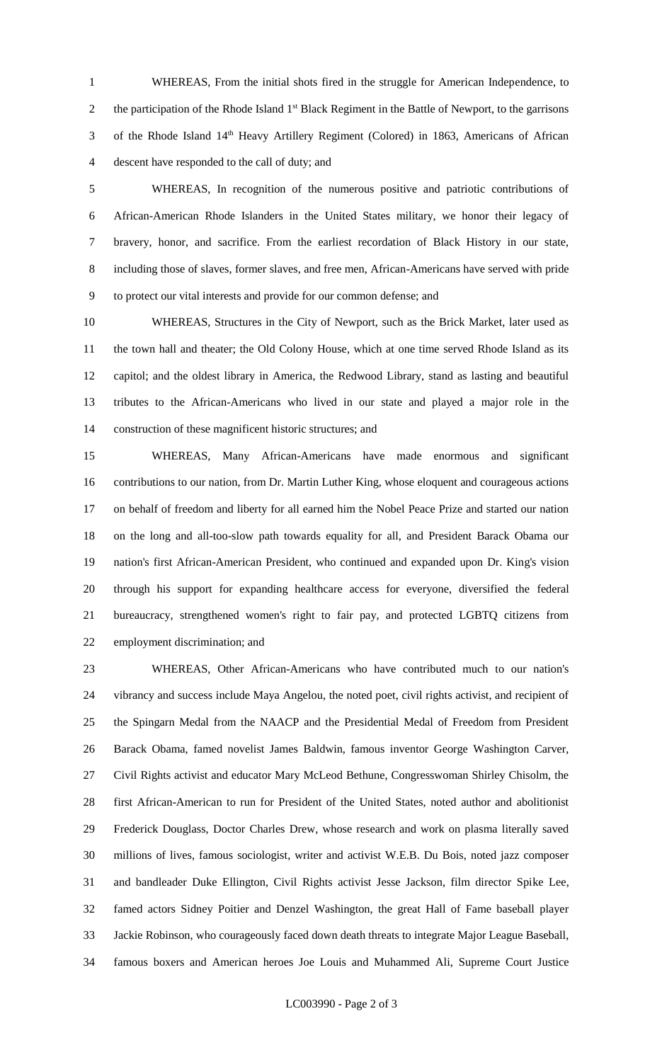WHEREAS, From the initial shots fired in the struggle for American Independence, to 2 the participation of the Rhode Island  $1<sup>st</sup>$  Black Regiment in the Battle of Newport, to the garrisons 3 of the Rhode Island 14<sup>th</sup> Heavy Artillery Regiment (Colored) in 1863, Americans of African descent have responded to the call of duty; and

 WHEREAS, In recognition of the numerous positive and patriotic contributions of African-American Rhode Islanders in the United States military, we honor their legacy of bravery, honor, and sacrifice. From the earliest recordation of Black History in our state, including those of slaves, former slaves, and free men, African-Americans have served with pride to protect our vital interests and provide for our common defense; and

 WHEREAS, Structures in the City of Newport, such as the Brick Market, later used as the town hall and theater; the Old Colony House, which at one time served Rhode Island as its capitol; and the oldest library in America, the Redwood Library, stand as lasting and beautiful tributes to the African-Americans who lived in our state and played a major role in the construction of these magnificent historic structures; and

 WHEREAS, Many African-Americans have made enormous and significant contributions to our nation, from Dr. Martin Luther King, whose eloquent and courageous actions on behalf of freedom and liberty for all earned him the Nobel Peace Prize and started our nation on the long and all-too-slow path towards equality for all, and President Barack Obama our nation's first African-American President, who continued and expanded upon Dr. King's vision through his support for expanding healthcare access for everyone, diversified the federal bureaucracy, strengthened women's right to fair pay, and protected LGBTQ citizens from employment discrimination; and

 WHEREAS, Other African-Americans who have contributed much to our nation's vibrancy and success include Maya Angelou, the noted poet, civil rights activist, and recipient of the Spingarn Medal from the NAACP and the Presidential Medal of Freedom from President Barack Obama, famed novelist James Baldwin, famous inventor George Washington Carver, Civil Rights activist and educator Mary McLeod Bethune, Congresswoman Shirley Chisolm, the first African-American to run for President of the United States, noted author and abolitionist Frederick Douglass, Doctor Charles Drew, whose research and work on plasma literally saved millions of lives, famous sociologist, writer and activist W.E.B. Du Bois, noted jazz composer and bandleader Duke Ellington, Civil Rights activist Jesse Jackson, film director Spike Lee, famed actors Sidney Poitier and Denzel Washington, the great Hall of Fame baseball player Jackie Robinson, who courageously faced down death threats to integrate Major League Baseball, famous boxers and American heroes Joe Louis and Muhammed Ali, Supreme Court Justice